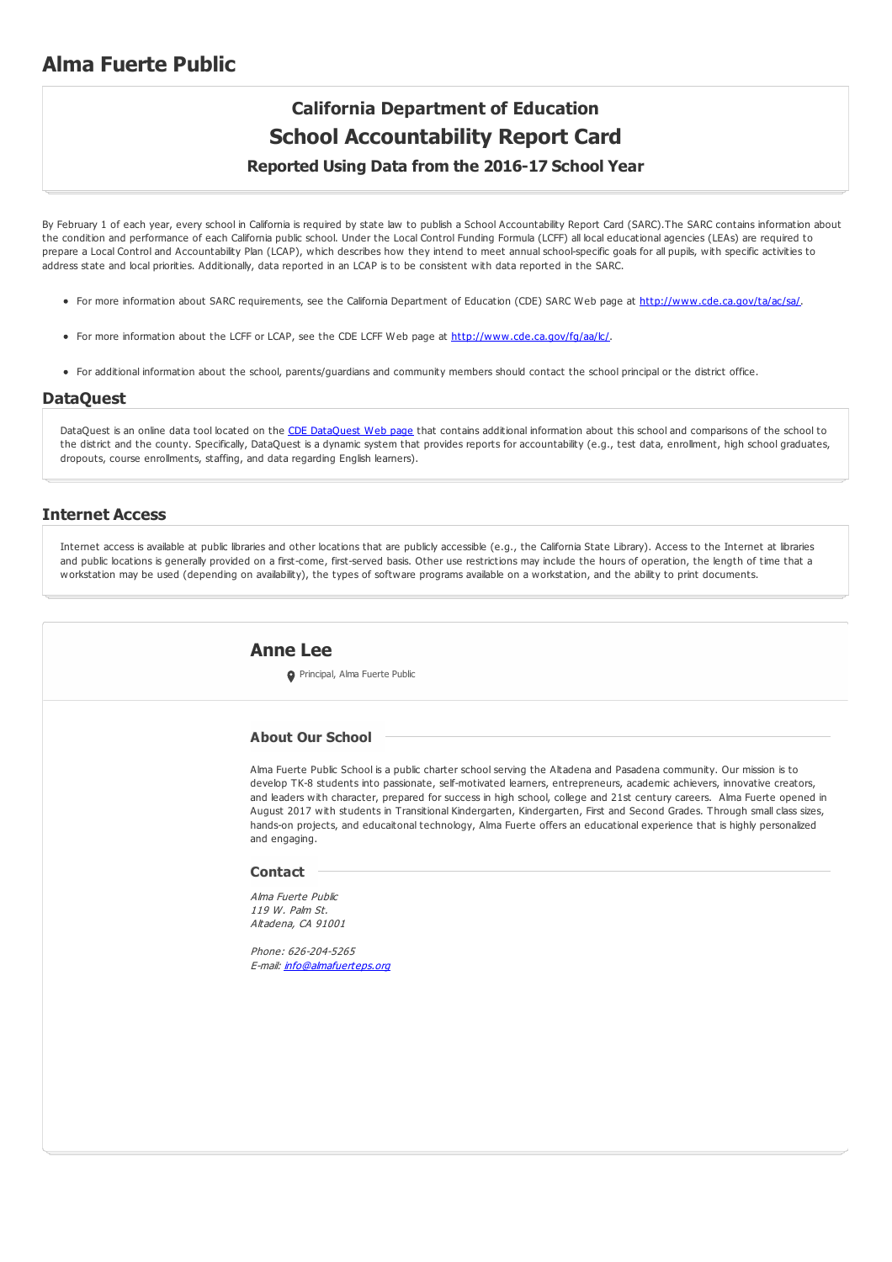### **Alma Fuerte Public**

## **California Department of Education School Accountability Report Card**

#### **Reported Using Data from the 2016-17 School Year**

By February 1 of each year, every school in California is required by state law to publish a School Accountability Report Card (SARC).The SARC contains information about the condition and performance of each California public school. Under the Local Control Funding Formula (LCFF) all local educational agencies (LEAs) are required to prepare a Local Control and Accountability Plan (LCAP), which describes how they intend to meet annual school-specific goals for all pupils, with specific activities to address state and local priorities. Additionally, data reported in an LCAP is to be consistent with data reported in the SARC.

- For more information about SARC requirements, see the California Department of Education (CDE) SARC Web page at <http://www.cde.ca.gov/ta/ac/sa/>.
- For more information about the LCFF or LCAP, see the CDE LCFF Web page at <http://www.cde.ca.gov/fg/aa/lc/>.
- For additional information about the school, parents/guardians and community members should contact the school principal or the district office.

#### **DataQuest**

[DataQuest](http://dq.cde.ca.gov/dataquest/) is an online data tool located on the CDE DataQuest Web page that contains additional information about this school and comparisons of the school to the district and the county. Specifically, DataQuest is a dynamic system that provides reports for accountability (e.g., test data, enrollment, high school graduates, dropouts, course enrollments, staffing, and data regarding English learners).

#### **Internet Access**

Internet access is available at public libraries and other locations that are publicly accessible (e.g., the California State Library). Access to the Internet at libraries and public locations is generally provided on a first-come, first-served basis. Other use restrictions may include the hours of operation, the length of time that a workstation may be used (depending on availability), the types of software programs available on a workstation, and the ability to print documents.

#### **Anne Lee**

**O** Principal, Alma Fuerte Public

#### **About Our School**

Alma Fuerte Public School is a public charter school serving the Altadena and Pasadena community. Our mission is to develop TK-8 students into passionate, self-motivated learners, entrepreneurs, academic achievers, innovative creators, and leaders with character, prepared for success in high school, college and 21st century careers. Alma Fuerte opened in August 2017 with students in Transitional Kindergarten, Kindergarten, First and Second Grades. Through small class sizes, hands-on projects, and educaitonal technology, Alma Fuerte offers an educational experience that is highly personalized and engaging.

#### **Contact**

Alma Fuerte Public 119 W. Palm St. Altadena, CA 91001

Phone: 626-204-5265 E-mail: *[info@almafuerteps.org](mailto:info@almafuerteps.org)*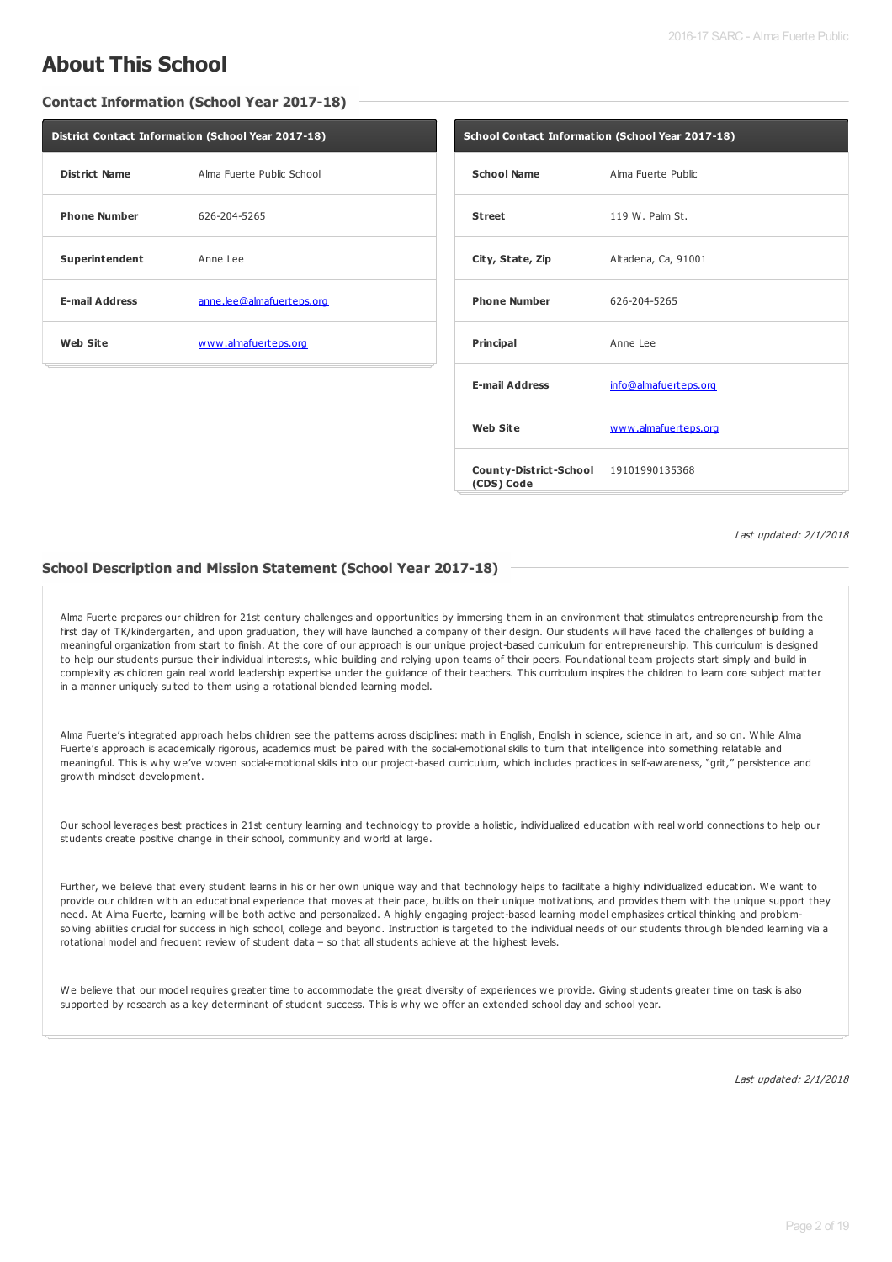### **About This School**

**Contact Information (School Year 2017-18)**

| District Contact Information (School Year 2017-18) |                           |  |  |  |
|----------------------------------------------------|---------------------------|--|--|--|
| <b>District Name</b>                               | Alma Fuerte Public School |  |  |  |
| <b>Phone Number</b>                                | 626-204-5265              |  |  |  |
| Superintendent                                     | Anne Lee                  |  |  |  |
| <b>E-mail Address</b>                              | anne.lee@almafuerteps.org |  |  |  |
| <b>Web Site</b>                                    | www.almafuerteps.org      |  |  |  |

| School Contact Information (School Year 2017-18)    |                       |  |  |  |
|-----------------------------------------------------|-----------------------|--|--|--|
| <b>School Name</b>                                  | Alma Fuerte Public    |  |  |  |
| <b>Street</b>                                       | 119 W. Palm St.       |  |  |  |
| City, State, Zip                                    | Altadena, Ca, 91001   |  |  |  |
| <b>Phone Number</b>                                 | 626-204-5265          |  |  |  |
| Principal                                           | Anne Lee              |  |  |  |
| <b>E-mail Address</b>                               | info@almafuerteps.org |  |  |  |
| <b>Web Site</b>                                     | www.almafuerteps.org  |  |  |  |
| County-District-School 19101990135368<br>(CDS) Code |                       |  |  |  |

Last updated: 2/1/2018

#### **School Description and Mission Statement (School Year 2017-18)**

Alma Fuerte prepares our children for 21st century challenges and opportunities by immersing them in an environment that stimulates entrepreneurship from the first day of TK/kindergarten, and upon graduation, they will have launched a company of their design. Our students will have faced the challenges of building a meaningful organization from start to finish. At the core of our approach is our unique project-based curriculum for entrepreneurship. This curriculum is designed to help our students pursue their individual interests, while building and relying upon teams of their peers. Foundational team projects start simply and build in complexity as children gain real world leadership expertise under the guidance of their teachers. This curriculum inspires the children to learn core subject matter in a manner uniquely suited to them using a rotational blended learning model.

Alma Fuerte's integrated approach helps children see the patterns across disciplines: math in English, English in science, science in art, and so on. While Alma Fuerte's approach is academically rigorous, academics must be paired with the social-emotional skills to turn that intelligence into something relatable and meaningful. This is why we've woven social-emotional skills into our project-based curriculum, which includes practices in self-awareness, "grit," persistence and growth mindset development.

Our school leverages best practices in 21st century learning and technology to provide a holistic, individualized education with real world connections to help our students create positive change in their school, community and world at large.

Further, we believe that every student learns in his or her own unique way and that technology helps to facilitate a highly individualized education. We want to provide our children with an educational experience that moves at their pace, builds on their unique motivations, and provides them with the unique support they need. At Alma Fuerte, learning will be both active and personalized. A highly engaging project-based learning model emphasizes critical thinking and problemsolving abilities crucial for success in high school, college and beyond. Instruction is targeted to the individual needs of our students through blended learning via a rotational model and frequent review of student data – so that all students achieve at the highest levels.

We believe that our model requires greater time to accommodate the great diversity of experiences we provide. Giving students greater time on task is also supported by research as a key determinant of student success. This is why we offer an extended school day and school year.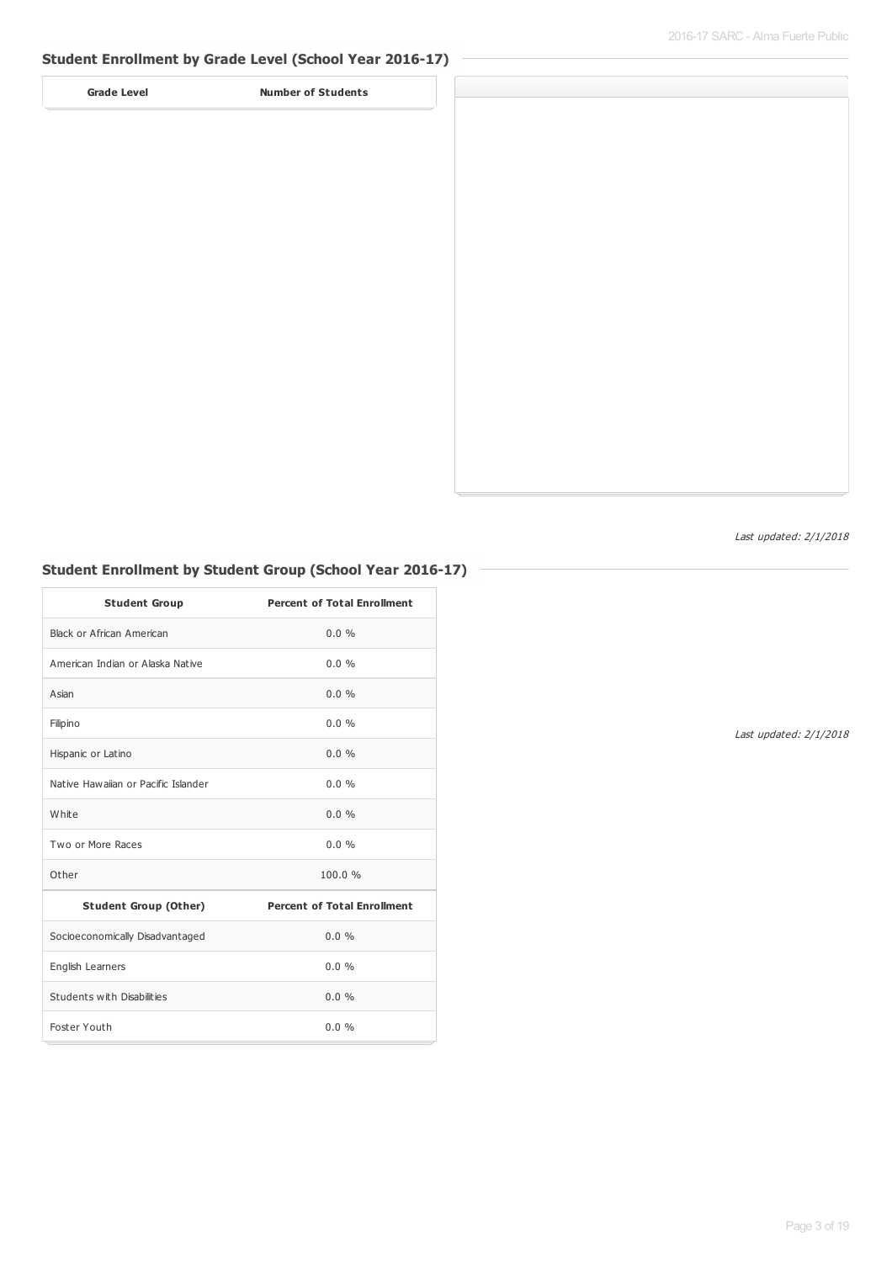#### **Student Enrollment by Grade Level (School Year 2016-17)**

**Grade Level Number of Students**



Last updated: 2/1/2018

#### **Student Enrollment by Student Group (School Year 2016-17)**

| <b>Student Group</b>                | <b>Percent of Total Enrollment</b> |
|-------------------------------------|------------------------------------|
| Black or African American           | $0.0\%$                            |
| American Indian or Alaska Native    | $0.0\%$                            |
| Asian                               | $0.0\%$                            |
| Filipino                            | $0.0\%$                            |
| Hispanic or Latino                  | $0.0\%$                            |
| Native Hawaiian or Pacific Islander | $0.0\%$                            |
| White                               | $0.0\%$                            |
| Two or More Races                   | $0.0\%$                            |
| Other                               | 100.0%                             |
| <b>Student Group (Other)</b>        | <b>Percent of Total Enrollment</b> |
| Socioeconomically Disadvantaged     | $0.0\%$                            |
| English Learners                    | $0.0\%$                            |
| Students with Disabilities          | $0.0 \%$                           |
| Foster Youth                        | $0.0\%$                            |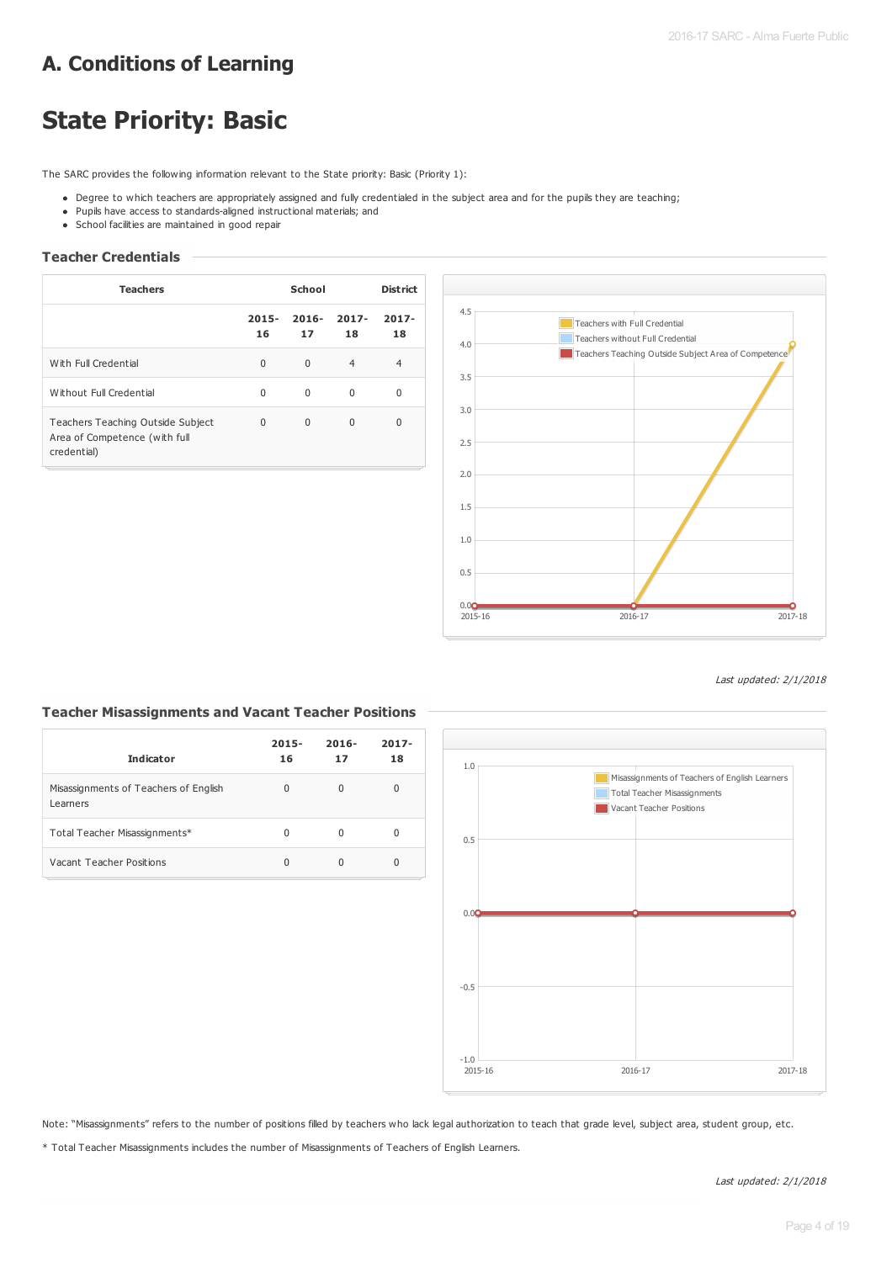### **A. Conditions of Learning**

# **State Priority: Basic**

The SARC provides the following information relevant to the State priority: Basic (Priority 1):

- . Degree to which teachers are appropriately assigned and fully credentialed in the subject area and for the pupils they are teaching;
- Pupils have access to standards-aligned instructional materials; and
- School facilities are maintained in good repair

#### **Teacher Credentials**

| <b>Teachers</b>                                                                   | School         |                |                | <b>District</b> |  |
|-----------------------------------------------------------------------------------|----------------|----------------|----------------|-----------------|--|
|                                                                                   | $2015 -$<br>16 | $2016 -$<br>17 | $2017 -$<br>18 | $2017 -$<br>18  |  |
| With Full Credential                                                              | $\Omega$       | $\Omega$       | $\overline{4}$ | 4               |  |
| Without Full Credential                                                           | $\Omega$       | $\Omega$       | $\Omega$       | 0               |  |
| Teachers Teaching Outside Subject<br>Area of Competence (with full<br>credential) | 0              | $\Omega$       | $\Omega$       | $\Omega$        |  |



Last updated: 2/1/2018

#### **Teacher Misassignments and Vacant Teacher Positions**

| <b>Indicator</b>                                  | $2015 -$<br>16 | $2016 -$<br>17 | $2017 -$<br>18 |
|---------------------------------------------------|----------------|----------------|----------------|
| Misassignments of Teachers of English<br>Learners | 0              | U              | 0              |
| Total Teacher Misassignments*                     | 0              | O              | 0              |
| Vacant Teacher Positions                          | 0              |                | 0              |



Note: "Misassignments" refers to the number of positions filled by teachers who lack legal authorization to teach that grade level, subject area, student group, etc.

\* Total Teacher Misassignments includes the number of Misassignments of Teachers of English Learners.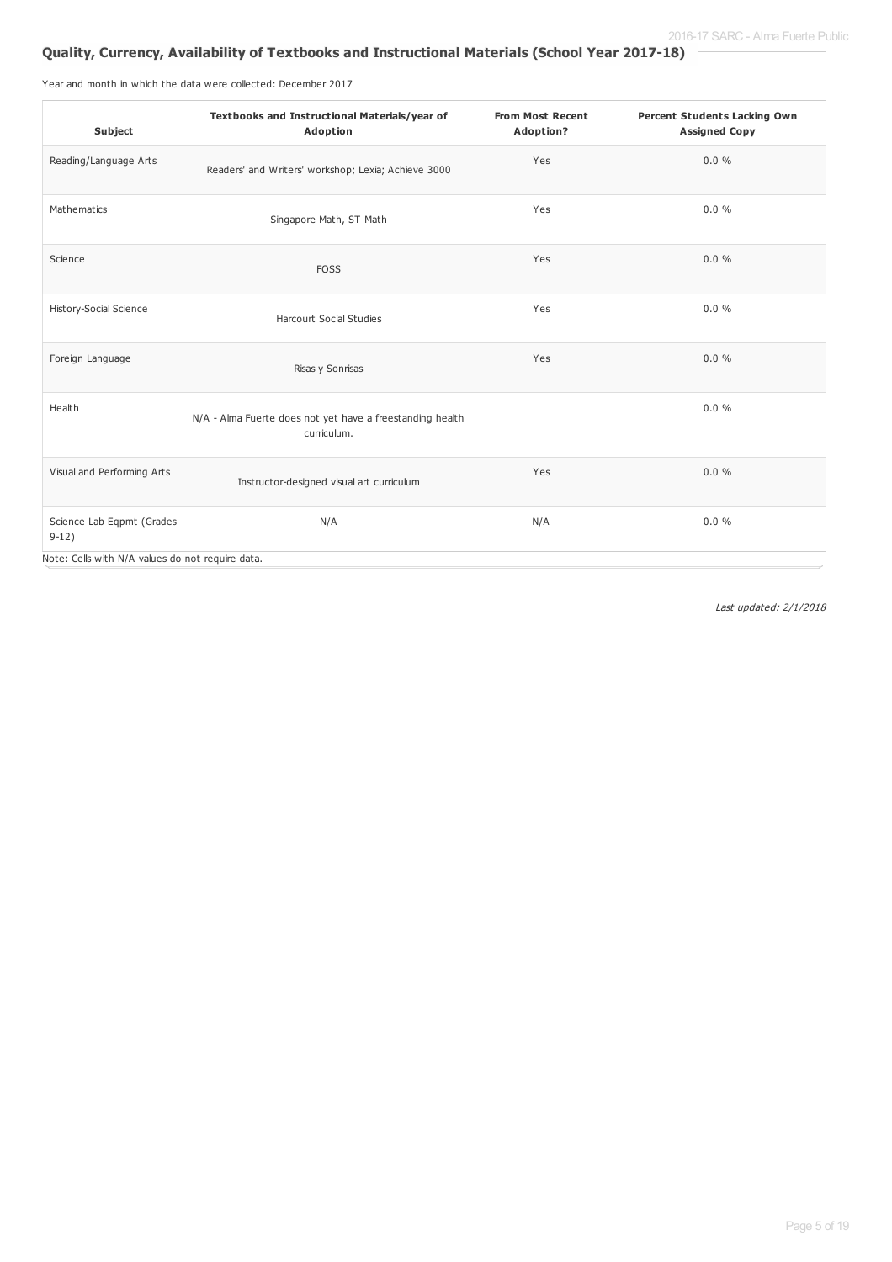### **Quality, Currency, Availability of Textbooks and Instructional Materials (School Year 2017-18)**

Year and month in which the data were collected: December 2017

| Subject                                          | Textbooks and Instructional Materials/year of<br>Adoption                | <b>From Most Recent</b><br>Adoption? | <b>Percent Students Lacking Own</b><br><b>Assigned Copy</b> |
|--------------------------------------------------|--------------------------------------------------------------------------|--------------------------------------|-------------------------------------------------------------|
| Reading/Language Arts                            | Readers' and Writers' workshop; Lexia; Achieve 3000                      | Yes                                  | 0.0%                                                        |
| Mathematics                                      | Singapore Math, ST Math                                                  | Yes                                  | 0.0%                                                        |
| Science                                          | <b>FOSS</b>                                                              | Yes                                  | 0.0%                                                        |
| History-Social Science                           | <b>Harcourt Social Studies</b>                                           | Yes                                  | 0.0%                                                        |
| Foreign Language                                 | Risas y Sonrisas                                                         | Yes                                  | 0.0%                                                        |
| Health                                           | N/A - Alma Fuerte does not yet have a freestanding health<br>curriculum. |                                      | 0.0%                                                        |
| Visual and Performing Arts                       | Instructor-designed visual art curriculum                                | Yes                                  | 0.0%                                                        |
| Science Lab Eqpmt (Grades<br>$9-12)$             | N/A                                                                      | N/A                                  | 0.0%                                                        |
| Note: Cells with N/A values do not require data. |                                                                          |                                      |                                                             |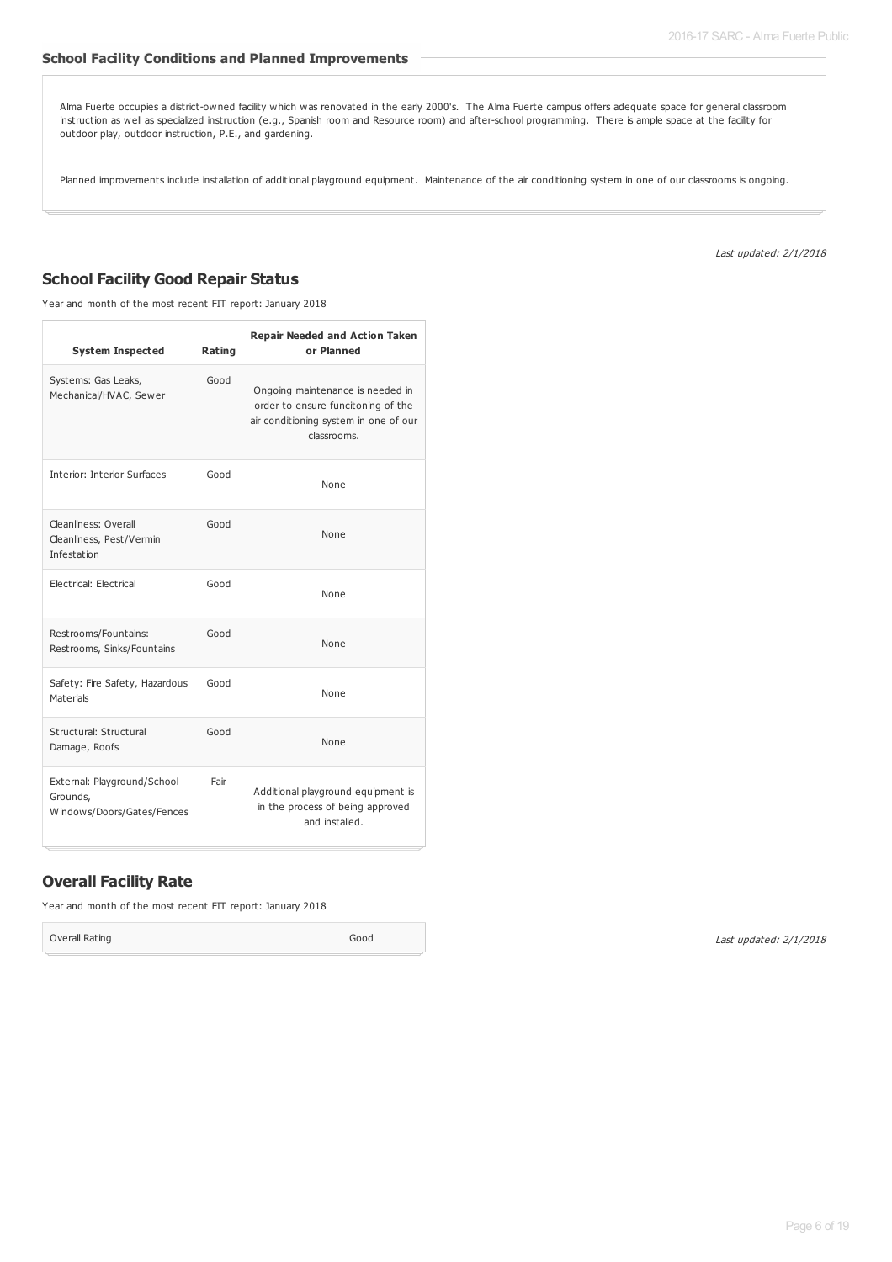#### **School Facility Conditions and Planned Improvements**

Alma Fuerte occupies a district-owned facility which was renovated in the early 2000's. The Alma Fuerte campus offers adequate space for general classroom instruction as well as specialized instruction (e.g., Spanish room and Resource room) and after-school programming. There is ample space at the facility for outdoor play, outdoor instruction, P.E., and gardening.

Planned improvements include installation of additional playground equipment. Maintenance of the air conditioning system in one of our classrooms is ongoing.

Last updated: 2/1/2018

#### **School Facility Good Repair Status**

Year and month of the most recent FIT report: January 2018

| <b>System Inspected</b>                                               | Rating | <b>Repair Needed and Action Taken</b><br>or Planned                                                                            |
|-----------------------------------------------------------------------|--------|--------------------------------------------------------------------------------------------------------------------------------|
| Systems: Gas Leaks,<br>Mechanical/HVAC, Sewer                         | Good   | Ongoing maintenance is needed in<br>order to ensure funcitoning of the<br>air conditioning system in one of our<br>classrooms. |
| Interior: Interior Surfaces                                           | Good   | None                                                                                                                           |
| Cleanliness: Overall<br>Cleanliness, Pest/Vermin<br>Infestation       | Good   | None                                                                                                                           |
| Electrical: Electrical                                                | Good   | None                                                                                                                           |
| Restrooms/Fountains:<br>Restrooms, Sinks/Fountains                    | Good   | None                                                                                                                           |
| Safety: Fire Safety, Hazardous<br>Materials                           | Good   | None                                                                                                                           |
| Structural: Structural<br>Damage, Roofs                               | Good   | None                                                                                                                           |
| External: Playground/School<br>Grounds,<br>Windows/Doors/Gates/Fences | Fair   | Additional playground equipment is<br>in the process of being approved<br>and installed.                                       |

#### **Overall Facility Rate**

Year and month of the most recent FIT report: January 2018

Overall Rating Good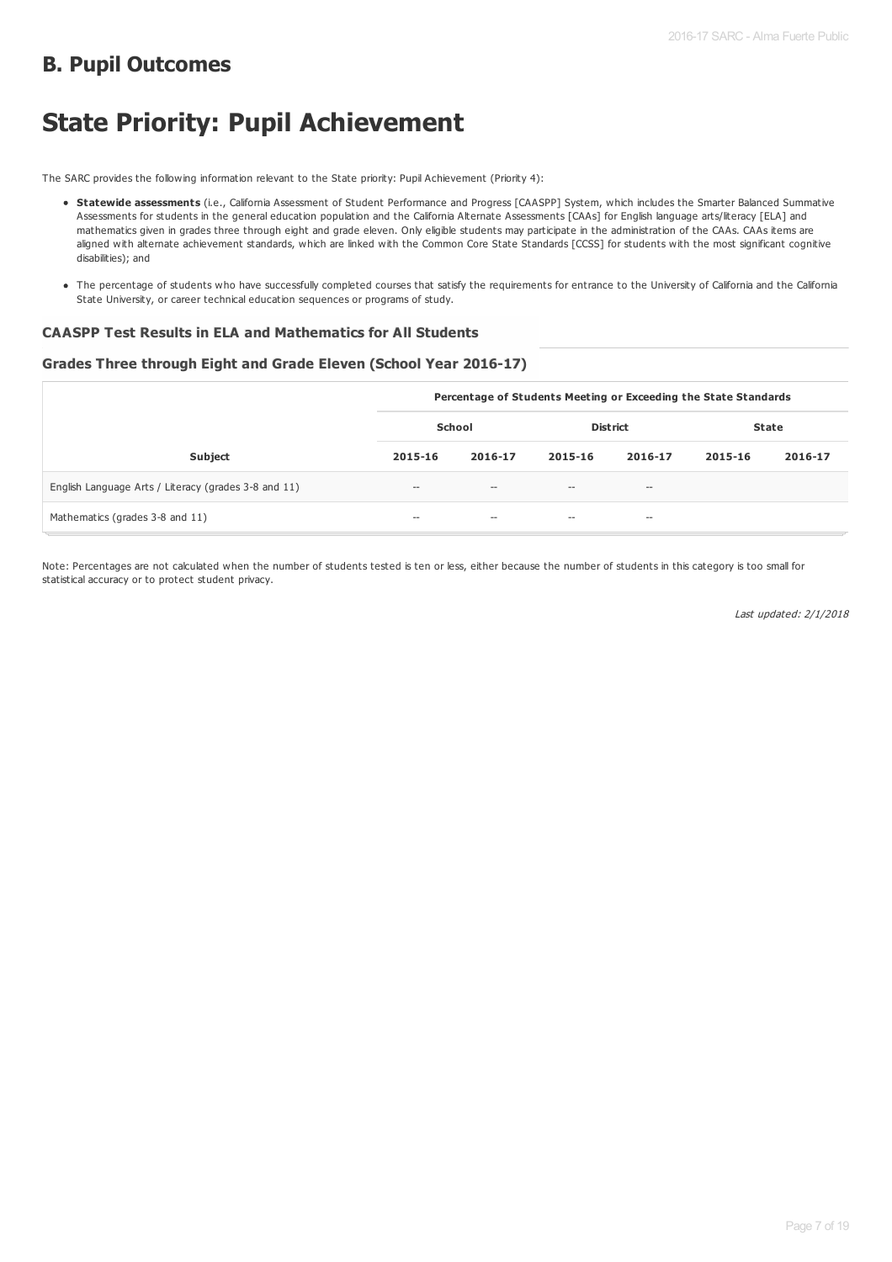### **B. Pupil Outcomes**

# **State Priority: Pupil Achievement**

The SARC provides the following information relevant to the State priority: Pupil Achievement (Priority 4):

- **Statewide assessments** (i.e., California Assessment of Student Performance and Progress [CAASPP] System, which includes the Smarter Balanced Summative Assessments for students in the general education population and the California Alternate Assessments [CAAs] for English language arts/literacy [ELA] and mathematics given in grades three through eight and grade eleven. Only eligible students may participate in the administration of the CAAs. CAAs items are aligned with alternate achievement standards, which are linked with the Common Core State Standards [CCSS] for students with the most significant cognitive disabilities); and
- The percentage of students who have successfully completed courses that satisfy the requirements for entrance to the University of California and the California State University, or career technical education sequences or programs of study.

#### **CAASPP Test Results in ELA and Mathematics for All Students**

#### **Grades Three through Eight and Grade Eleven (School Year 2016-17)**

|                                                      | Percentage of Students Meeting or Exceeding the State Standards |                   |                                                     |                     |              |         |  |
|------------------------------------------------------|-----------------------------------------------------------------|-------------------|-----------------------------------------------------|---------------------|--------------|---------|--|
|                                                      | School                                                          |                   | <b>District</b>                                     |                     | <b>State</b> |         |  |
| <b>Subject</b>                                       | 2015-16                                                         | 2016-17           | 2015-16                                             | 2016-17             | 2015-16      | 2016-17 |  |
| English Language Arts / Literacy (grades 3-8 and 11) | $\hspace{0.05cm} -\hspace{0.05cm} -\hspace{0.05cm}$             | $\hspace{0.05cm}$ | $\hspace{0.05cm} -\hspace{0.05cm} -\hspace{0.05cm}$ | $\hspace{0.05cm} -$ |              |         |  |
| Mathematics (grades 3-8 and 11)                      | $- -$                                                           | $- -$             | $- -$                                               | $\hspace{0.05cm} -$ |              |         |  |

Note: Percentages are not calculated when the number of students tested is ten or less, either because the number of students in this category is too small for statistical accuracy or to protect student privacy.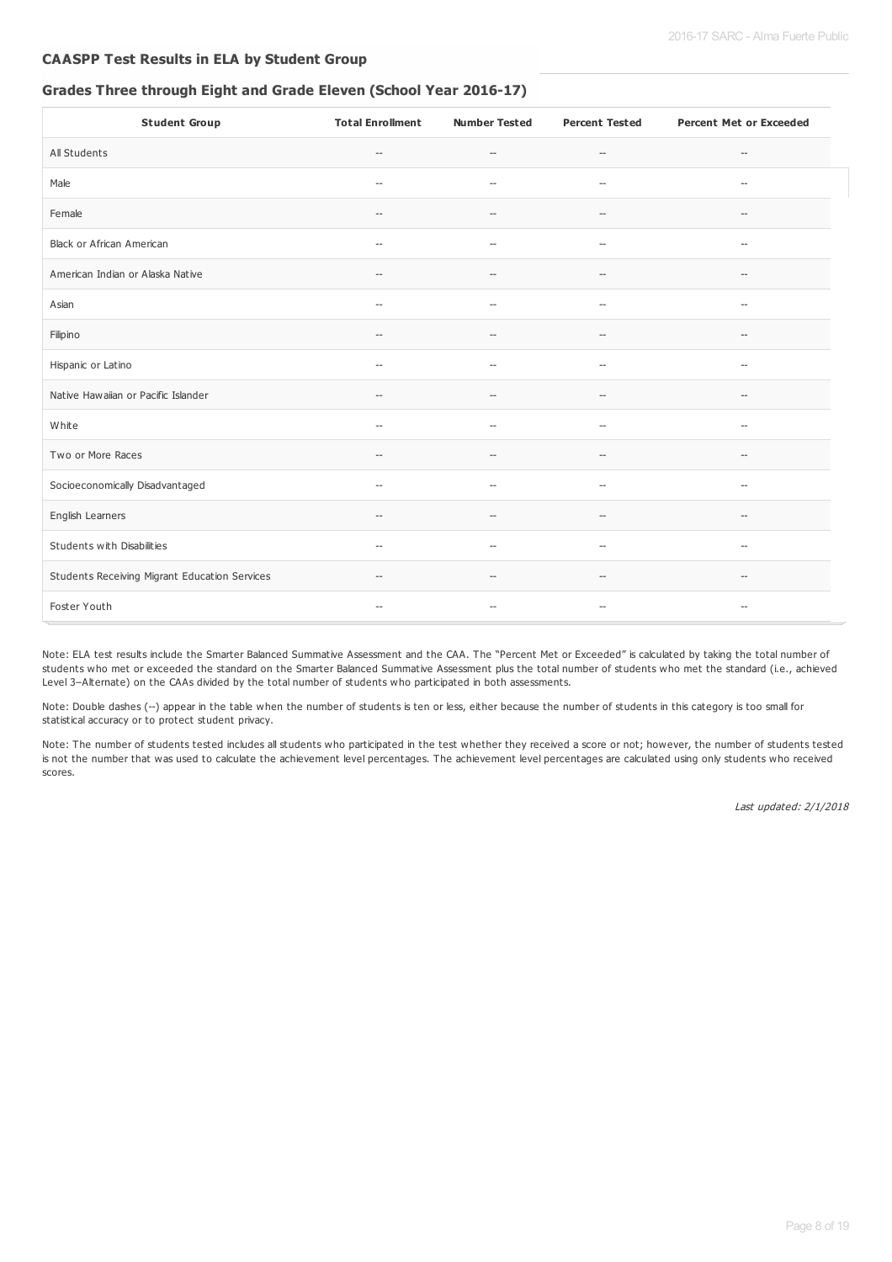#### **CAASPP Test Results in ELA by Student Group**

#### **Grades Three through Eight and Grade Eleven (School Year 2016-17)**

| <b>Student Group</b>                          | <b>Total Enrollment</b>                             | <b>Number Tested</b>                                | <b>Percent Tested</b>    | <b>Percent Met or Exceeded</b>                      |
|-----------------------------------------------|-----------------------------------------------------|-----------------------------------------------------|--------------------------|-----------------------------------------------------|
| All Students                                  | $\hspace{0.05cm} -\hspace{0.05cm}$                  | $\hspace{0.05cm} -$                                 | $\hspace{0.05cm} -$      | $\qquad \qquad -$                                   |
| Male                                          | $\hspace{0.05cm} -$                                 | $\hspace{0.05cm} -$                                 | $\sim$                   | $\sim$                                              |
| Female                                        | $\hspace{0.05cm} -\hspace{0.05cm}$                  | $\hspace{0.05cm} -\hspace{0.05cm} -\hspace{0.05cm}$ | --                       | --                                                  |
| Black or African American                     | $\hspace{0.05cm} -$                                 | $\overline{\phantom{a}}$                            | $-$                      | $\overline{\phantom{a}}$                            |
| American Indian or Alaska Native              | $\hspace{0.05cm} -\hspace{0.05cm} -\hspace{0.05cm}$ | $\hspace{0.05cm} -\hspace{0.05cm} -\hspace{0.05cm}$ | --                       | $\hspace{0.05cm} -\hspace{0.05cm} -\hspace{0.05cm}$ |
| Asian                                         | $\hspace{0.05cm} -$                                 | $\sim$                                              | $\overline{a}$           | $\overline{\phantom{a}}$                            |
| Filipino                                      | $\overline{\phantom{a}}$                            | $\overline{\phantom{a}}$                            | $\overline{\phantom{a}}$ | $\overline{\phantom{a}}$                            |
| Hispanic or Latino                            | $\sim$                                              | $\overline{a}$                                      | $\sim$                   | $\sim$                                              |
| Native Hawaiian or Pacific Islander           | $\hspace{0.05cm} -\hspace{0.05cm}$                  | $\hspace{0.05cm} -$                                 | $\overline{\phantom{a}}$ | $\overline{\phantom{a}}$                            |
| White                                         | $\hspace{0.05cm} -\hspace{0.05cm}$                  | $\overline{\phantom{a}}$                            | $-$                      | $\hspace{0.05cm} -\hspace{0.05cm} -\hspace{0.05cm}$ |
| Two or More Races                             | $\hspace{0.05cm} -\hspace{0.05cm}$                  | $\hspace{0.05cm} -$                                 | $\overline{\phantom{a}}$ | --                                                  |
| Socioeconomically Disadvantaged               | $\overline{\phantom{a}}$                            | $\overline{\phantom{a}}$                            | $\overline{a}$           | $-$                                                 |
| English Learners                              | $\hspace{0.05cm} -\hspace{0.05cm}$                  | $\overline{\phantom{a}}$                            | $-$                      | $\hspace{0.05cm} -$                                 |
| Students with Disabilities                    | $\overline{\phantom{a}}$                            | $\overline{\phantom{a}}$                            | $\overline{a}$           | --                                                  |
| Students Receiving Migrant Education Services | $\overline{\phantom{a}}$                            | $\hspace{0.05cm} -$                                 | $\overline{\phantom{a}}$ | $\overline{\phantom{a}}$                            |
| Foster Youth                                  | $\overline{\phantom{a}}$                            | $\overline{\phantom{a}}$                            | $-$                      | $\overline{\phantom{a}}$                            |

Note: ELA test results include the Smarter Balanced Summative Assessment and the CAA. The "Percent Met or Exceeded" is calculated by taking the total number of students who met or exceeded the standard on the Smarter Balanced Summative Assessment plus the total number of students who met the standard (i.e., achieved Level 3–Alternate) on the CAAs divided by the total number of students who participated in both assessments.

Note: Double dashes (--) appear in the table when the number of students is ten or less, either because the number of students in this category is too small for statistical accuracy or to protect student privacy.

Note: The number of students tested includes all students who participated in the test whether they received a score or not; however, the number of students tested is not the number that was used to calculate the achievement level percentages. The achievement level percentages are calculated using only students who received scores.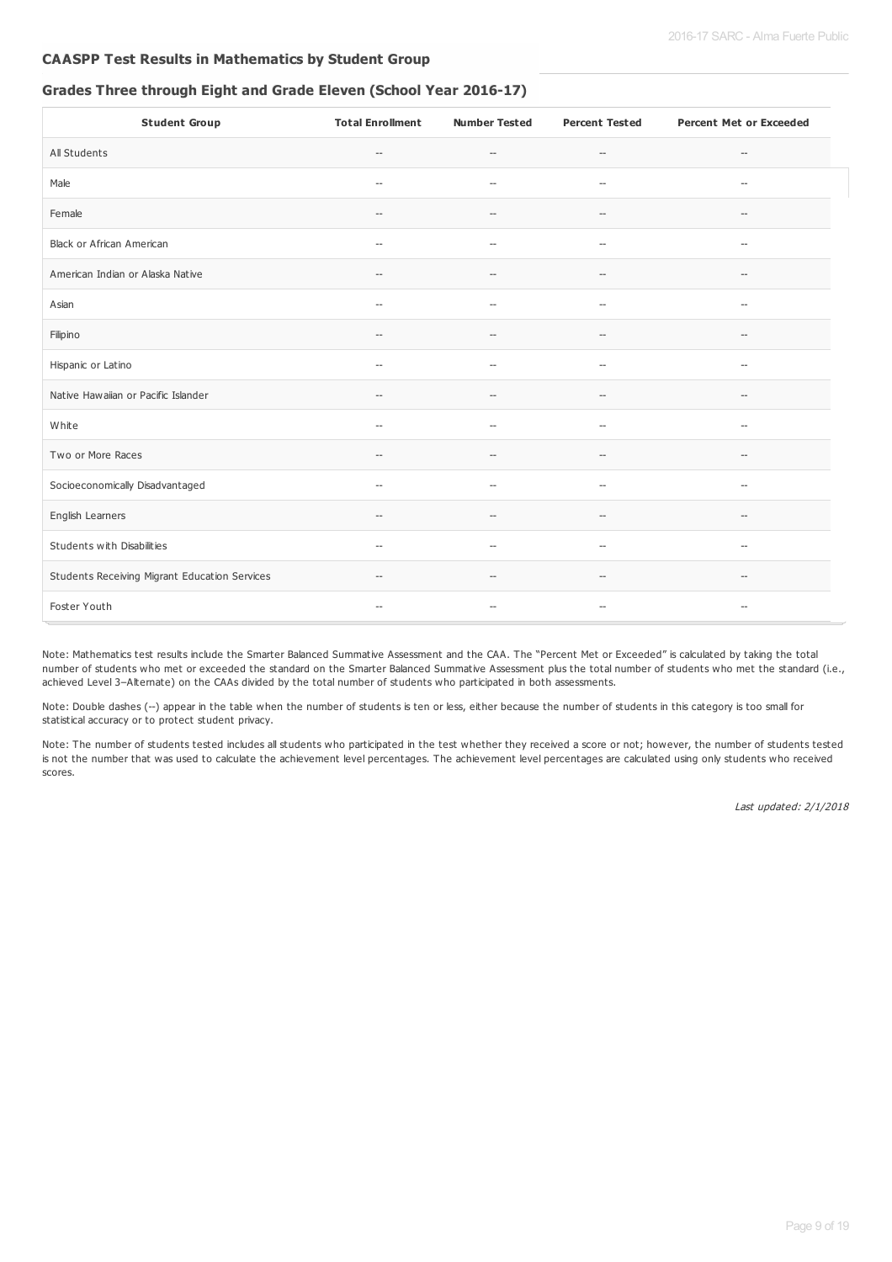#### **CAASPP Test Results in Mathematics by Student Group**

#### **Grades Three through Eight and Grade Eleven (School Year 2016-17)**

| <b>Student Group</b>                          | <b>Total Enrollment</b>                             | <b>Number Tested</b>                                | <b>Percent Tested</b>                               | <b>Percent Met or Exceeded</b>                      |
|-----------------------------------------------|-----------------------------------------------------|-----------------------------------------------------|-----------------------------------------------------|-----------------------------------------------------|
| All Students                                  | $\qquad \qquad -$                                   | $\hspace{0.05cm} -\hspace{0.05cm} -\hspace{0.05cm}$ | $\hspace{0.05cm} -\hspace{0.05cm} -\hspace{0.05cm}$ | --                                                  |
| Male                                          | $\hspace{0.05cm} -$                                 | $\overline{\phantom{a}}$                            | $\overline{a}$                                      | $\sim$                                              |
| Female                                        | $\hspace{0.05cm} -\hspace{0.05cm}$                  | $\overline{\phantom{a}}$                            | --                                                  | --                                                  |
| Black or African American                     | $\hspace{0.05cm} \ldots$                            | $\overline{\phantom{a}}$                            | $\overline{\phantom{a}}$                            | $\hspace{0.05cm} \ldots$                            |
| American Indian or Alaska Native              | $\hspace{0.05cm} -\hspace{0.05cm} -\hspace{0.05cm}$ | $\hspace{0.05cm} -\hspace{0.05cm} -\hspace{0.05cm}$ | $-\!$                                               | $\hspace{0.05cm} -\hspace{0.05cm} -\hspace{0.05cm}$ |
| Asian                                         | $\hspace{0.05cm} -$                                 | $\overline{\phantom{a}}$                            | $\overline{\phantom{a}}$                            | $\hspace{0.05cm} \ldots$                            |
| Filipino                                      | $\sim$                                              | $\overline{\phantom{a}}$                            | $-$                                                 | $\sim$                                              |
| Hispanic or Latino                            | $\qquad \qquad -$                                   | $\hspace{0.05cm} -\hspace{0.05cm} -\hspace{0.05cm}$ | --                                                  | $\overline{\phantom{a}}$                            |
| Native Hawaiian or Pacific Islander           | $\hspace{0.05cm} -$                                 | $\overline{\phantom{a}}$                            | $- -$                                               | $\hspace{0.05cm} -\hspace{0.05cm} -\hspace{0.05cm}$ |
| White                                         | $\hspace{0.05cm} -\hspace{0.05cm} -\hspace{0.05cm}$ | $\hspace{0.05cm} -\hspace{0.05cm} -\hspace{0.05cm}$ | $-\!$                                               | $\hspace{0.05cm} -\hspace{0.05cm} -\hspace{0.05cm}$ |
| Two or More Races                             | $\hspace{0.05cm} -$                                 | $\hspace{0.05cm} -$                                 | $- -$                                               | --                                                  |
| Socioeconomically Disadvantaged               | $\overline{\phantom{a}}$                            | $\overline{a}$                                      | $\overline{\phantom{a}}$                            | $\overline{\phantom{a}}$                            |
| English Learners                              | $\overline{\phantom{a}}$                            | $\overline{\phantom{a}}$                            | $- -$                                               | $\hspace{0.05cm} \ldots$                            |
| Students with Disabilities                    | $\hspace{0.05cm} -\hspace{0.05cm}$                  | $\overline{\phantom{a}}$                            | --                                                  | --                                                  |
| Students Receiving Migrant Education Services | $\hspace{0.05cm} -\hspace{0.05cm}$                  | $\hspace{0.05cm} -$                                 | $-\!$                                               | --                                                  |
| Foster Youth                                  | $\hspace{0.05cm} -$                                 | $\hspace{0.05cm} -$                                 | $-$                                                 | $-\!$                                               |

Note: Mathematics test results include the Smarter Balanced Summative Assessment and the CAA. The "Percent Met or Exceeded" is calculated by taking the total number of students who met or exceeded the standard on the Smarter Balanced Summative Assessment plus the total number of students who met the standard (i.e., achieved Level 3–Alternate) on the CAAs divided by the total number of students who participated in both assessments.

Note: Double dashes (--) appear in the table when the number of students is ten or less, either because the number of students in this category is too small for statistical accuracy or to protect student privacy.

Note: The number of students tested includes all students who participated in the test whether they received a score or not; however, the number of students tested is not the number that was used to calculate the achievement level percentages. The achievement level percentages are calculated using only students who received scores.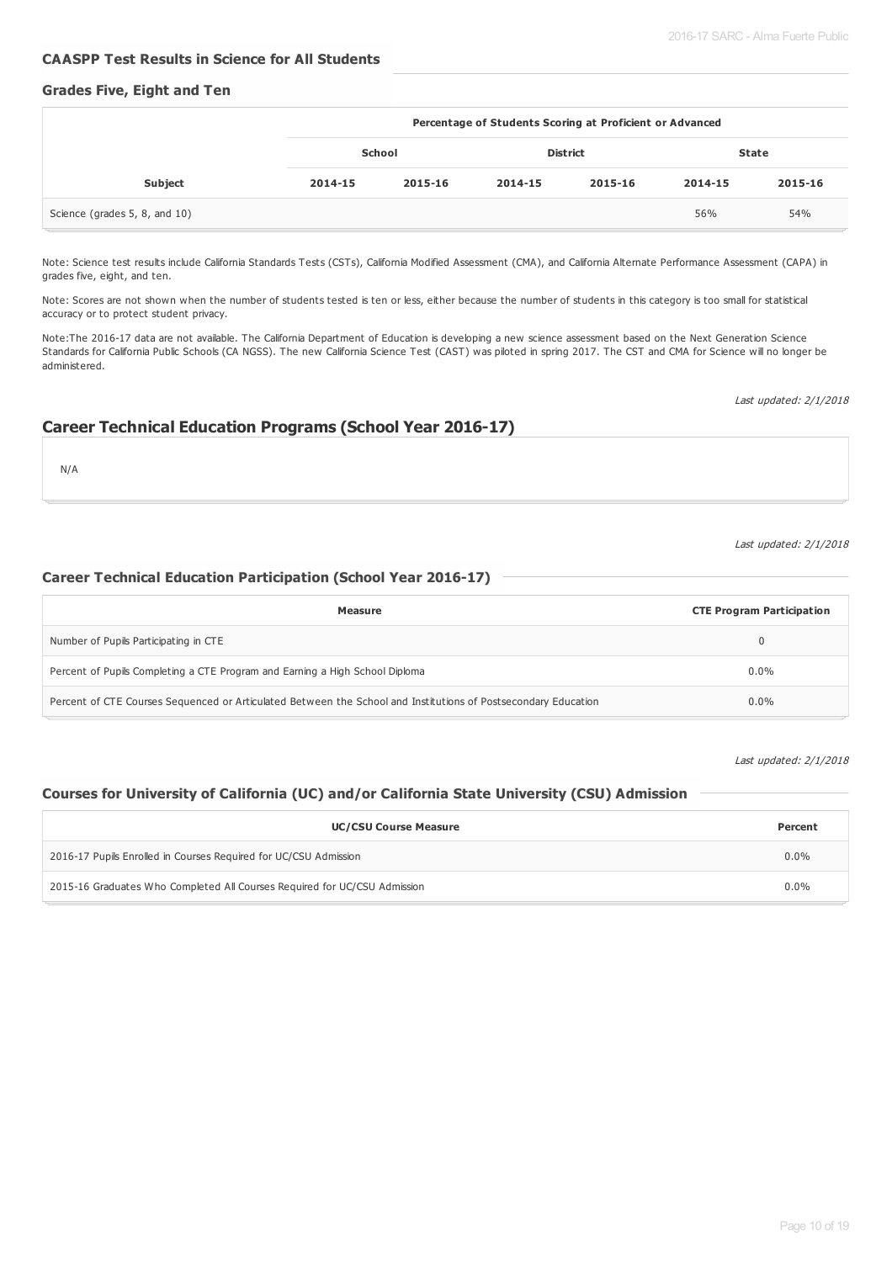#### **CAASPP Test Results in Science for All Students**

#### **Grades Five, Eight and Ten**

|                               | Percentage of Students Scoring at Proficient or Advanced |         |         |                 |         |              |
|-------------------------------|----------------------------------------------------------|---------|---------|-----------------|---------|--------------|
|                               |                                                          | School  |         | <b>District</b> |         | <b>State</b> |
| <b>Subject</b>                | 2014-15                                                  | 2015-16 | 2014-15 | 2015-16         | 2014-15 | 2015-16      |
| Science (grades 5, 8, and 10) |                                                          |         |         |                 | 56%     | 54%          |

Note: Science test results include California Standards Tests (CSTs), California Modified Assessment (CMA), and California Alternate Performance Assessment (CAPA) in grades five, eight, and ten.

Note: Scores are not shown when the number of students tested is ten or less, either because the number of students in this category is too small for statistical accuracy or to protect student privacy.

Note:The 2016-17 data are not available. The California Department of Education is developing a new science assessment based on the Next Generation Science Standards for California Public Schools (CA NGSS). The new California Science Test (CAST) was piloted in spring 2017. The CST and CMA for Science will no longer be administered.

#### **Career Technical Education Programs (School Year 2016-17)**

N/A

#### Last updated: 2/1/2018

Last updated: 2/1/2018

#### **Career Technical Education Participation (School Year 2016-17)**

| Measure                                                                                                        | <b>CTE Program Participation</b> |
|----------------------------------------------------------------------------------------------------------------|----------------------------------|
| Number of Pupils Participating in CTE                                                                          | 0                                |
| Percent of Pupils Completing a CTE Program and Earning a High School Diploma                                   | $0.0\%$                          |
| Percent of CTE Courses Sequenced or Articulated Between the School and Institutions of Postsecondary Education | $0.0\%$                          |

Last updated: 2/1/2018

#### **Courses for University of California (UC) and/or California State University (CSU) Admission**

| <b>UC/CSU Course Measure</b>                                              | Percent |  |  |  |  |
|---------------------------------------------------------------------------|---------|--|--|--|--|
| 2016-17 Pupils Enrolled in Courses Required for UC/CSU Admission          |         |  |  |  |  |
| 2015-16 Graduates Who Completed All Courses Required for UC/CSU Admission |         |  |  |  |  |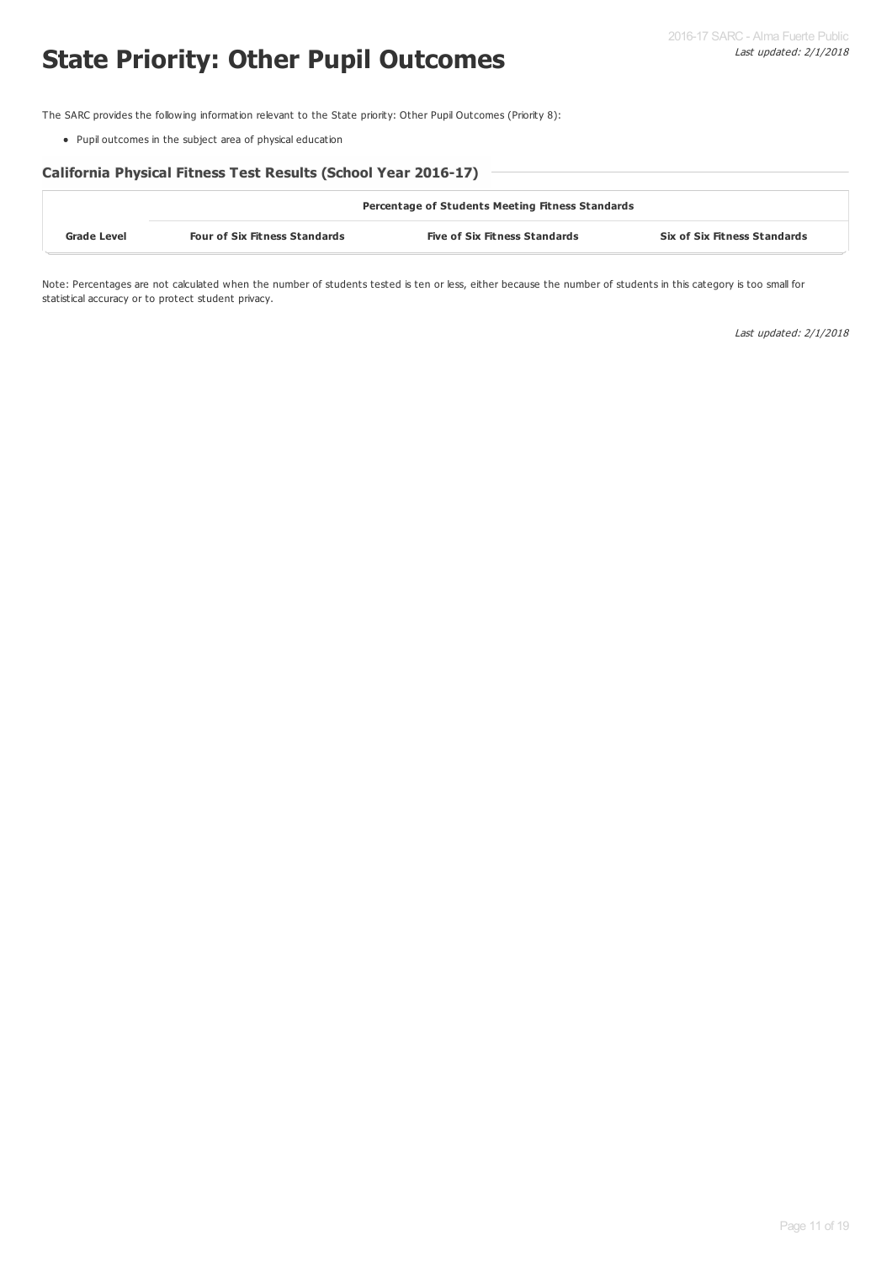# **State Priority: Other Pupil Outcomes**

The SARC provides the following information relevant to the State priority: Other Pupil Outcomes (Priority 8):

Pupil outcomes in the subject area of physical education

#### **California Physical Fitness Test Results (School Year 2016-17)**

|                    | <b>Percentage of Students Meeting Fitness Standards</b> |                                      |                                     |  |  |  |  |  |
|--------------------|---------------------------------------------------------|--------------------------------------|-------------------------------------|--|--|--|--|--|
| <b>Grade Level</b> | <b>Four of Six Fitness Standards</b>                    | <b>Five of Six Fitness Standards</b> | <b>Six of Six Fitness Standards</b> |  |  |  |  |  |

Note: Percentages are not calculated when the number of students tested is ten or less, either because the number of students in this category is too small for statistical accuracy or to protect student privacy.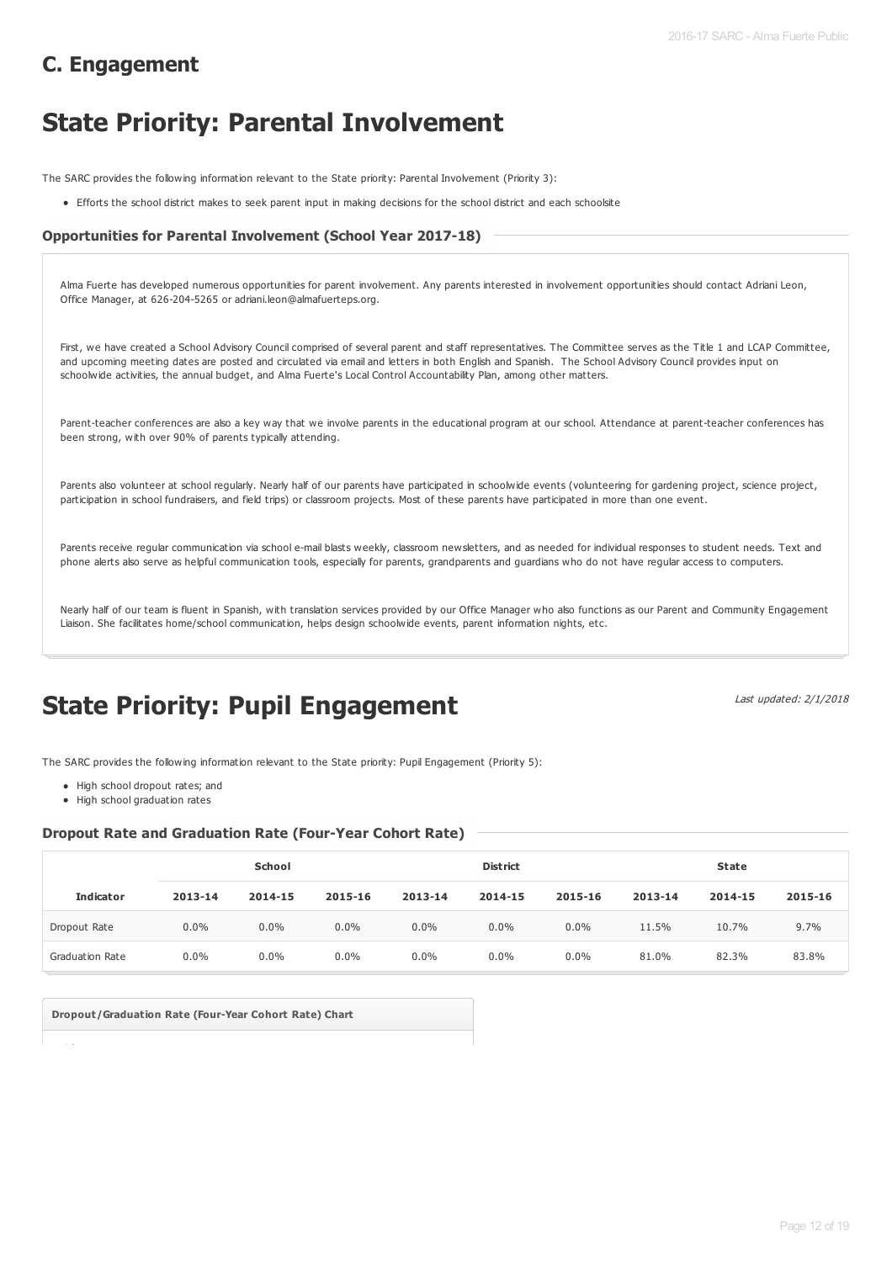### **C. Engagement**

# **State Priority: Parental Involvement**

The SARC provides the following information relevant to the State priority: Parental Involvement (Priority 3):

Efforts the school district makes to seek parent input in making decisions for the school district and each schoolsite

#### **Opportunities for Parental Involvement (School Year 2017-18)**

| Alma Fuerte has developed numerous opportunities for parent involvement. Any parents interested in involvement opportunities should contact Adriani Leon,<br>Office Manager, at 626-204-5265 or adriani.leon@almafuerteps.org.                                                                                                                                                                                                                  |
|-------------------------------------------------------------------------------------------------------------------------------------------------------------------------------------------------------------------------------------------------------------------------------------------------------------------------------------------------------------------------------------------------------------------------------------------------|
| First, we have created a School Advisory Council comprised of several parent and staff representatives. The Committee serves as the Title 1 and LCAP Committee,<br>and upcoming meeting dates are posted and circulated via email and letters in both English and Spanish. The School Advisory Council provides input on<br>schoolwide activities, the annual budget, and Alma Fuerte's Local Control Accountability Plan, among other matters. |
| Parent-teacher conferences are also a key way that we involve parents in the educational program at our school. Attendance at parent-teacher conferences has<br>been strong, with over 90% of parents typically attending.                                                                                                                                                                                                                      |
| Parents also volunteer at school regularly. Nearly half of our parents have participated in schoolwide events (volunteering for gardening project, science project,<br>participation in school fundraisers, and field trips) or classroom projects. Most of these parents have participated in more than one event.                                                                                                                             |
| Parents receive regular communication via school e-mail blasts weekly, classroom newsletters, and as needed for individual responses to student needs. Text and<br>phone alerts also serve as helpful communication tools, especially for parents, grandparents and guardians who do not have regular access to computers.                                                                                                                      |

Nearly half of our team is fluent in Spanish, with translation services provided by our Office Manager who also functions as our Parent and Community Engagement Liaison. She facilitates home/school communication, helps design schoolwide events, parent information nights, etc.

# **State Priority: Pupil Engagement**

Last updated: 2/1/2018

The SARC provides the following information relevant to the State priority: Pupil Engagement (Priority 5):

- High school dropout rates; and
- $\bullet$  High school graduation rates

#### **Dropout Rate and Graduation Rate (Four-Year Cohort Rate)**

|                        | School  |         |         | <b>District</b> |         |         | <b>State</b> |         |         |
|------------------------|---------|---------|---------|-----------------|---------|---------|--------------|---------|---------|
| <b>Indicator</b>       | 2013-14 | 2014-15 | 2015-16 | 2013-14         | 2014-15 | 2015-16 | 2013-14      | 2014-15 | 2015-16 |
| Dropout Rate           | $0.0\%$ | $0.0\%$ | $0.0\%$ | 0.0%            | $0.0\%$ | $0.0\%$ | 11.5%        | 10.7%   | 9.7%    |
| <b>Graduation Rate</b> | $0.0\%$ | 0.0%    | $0.0\%$ | $0.0\%$         | $0.0\%$ | $0.0\%$ | 81.0%        | 82.3%   | 83.8%   |

**Dropout/Graduation Rate (Four-Year Cohort Rate) Chart**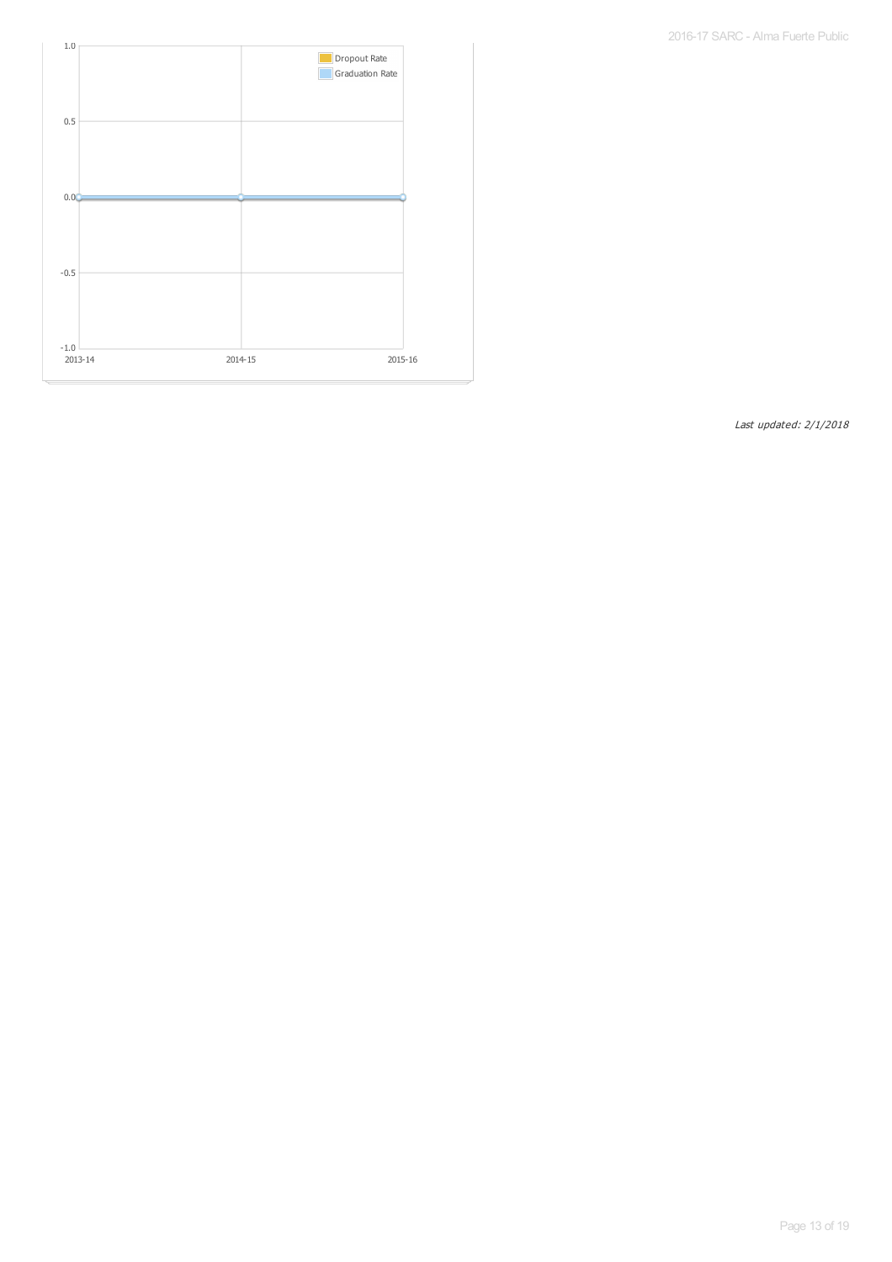2016-17 SARC - Alma Fuerte Public

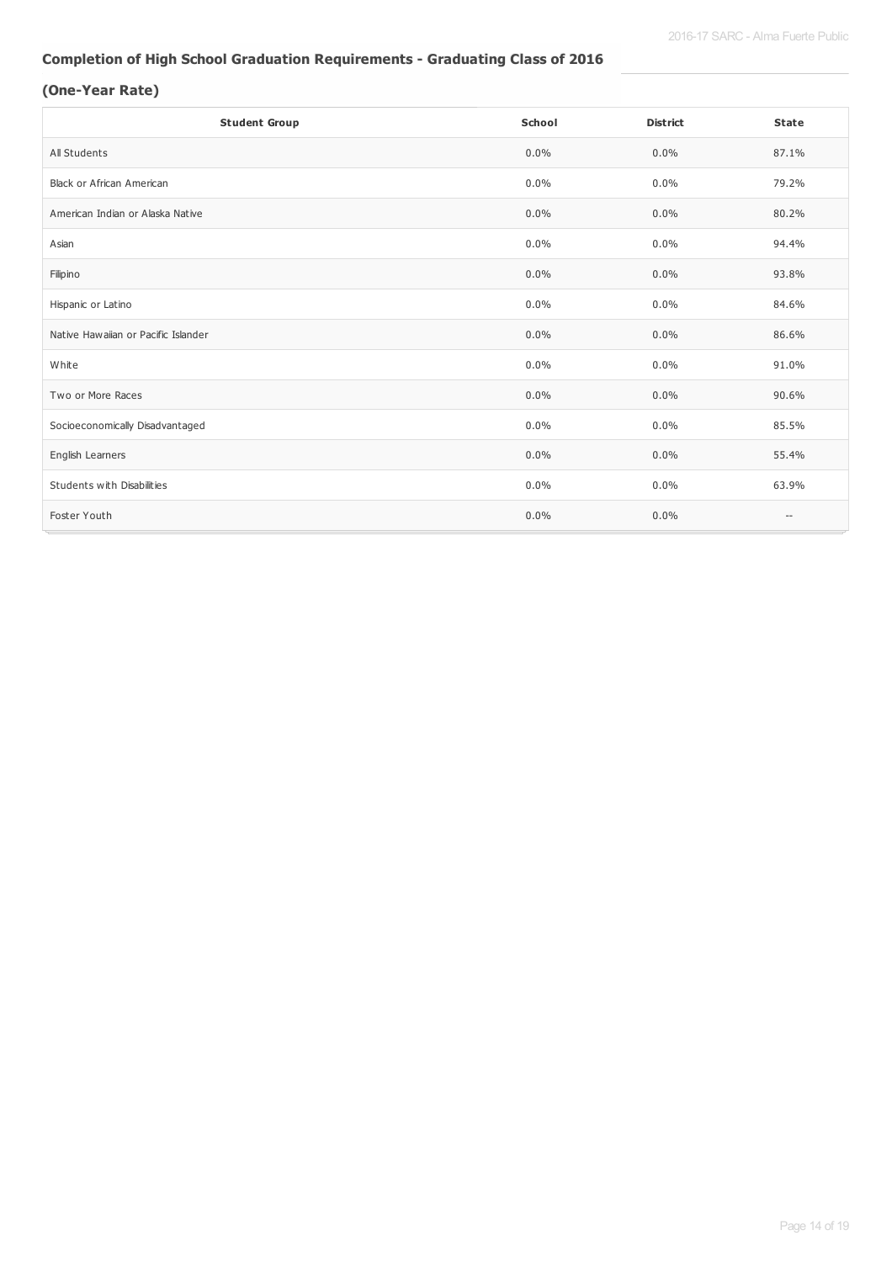#### **Completion of High School Graduation Requirements - Graduating Class of 2016**

#### **(One-Year Rate)**

| <b>Student Group</b>                | School  | <b>District</b> | <b>State</b>             |
|-------------------------------------|---------|-----------------|--------------------------|
| All Students                        | $0.0\%$ | $0.0\%$         | 87.1%                    |
| <b>Black or African American</b>    | 0.0%    | $0.0\%$         | 79.2%                    |
| American Indian or Alaska Native    | $0.0\%$ | $0.0\%$         | 80.2%                    |
| Asian                               | $0.0\%$ | $0.0\%$         | 94.4%                    |
| Filipino                            | $0.0\%$ | $0.0\%$         | 93.8%                    |
| Hispanic or Latino                  | 0.0%    | $0.0\%$         | 84.6%                    |
| Native Hawaiian or Pacific Islander | $0.0\%$ | $0.0\%$         | 86.6%                    |
| White                               | $0.0\%$ | $0.0\%$         | 91.0%                    |
| Two or More Races                   | 0.0%    | $0.0\%$         | 90.6%                    |
| Socioeconomically Disadvantaged     | $0.0\%$ | $0.0\%$         | 85.5%                    |
| English Learners                    | $0.0\%$ | $0.0\%$         | 55.4%                    |
| Students with Disabilities          | 0.0%    | $0.0\%$         | 63.9%                    |
| Foster Youth                        | 0.0%    | $0.0\%$         | $\overline{\phantom{a}}$ |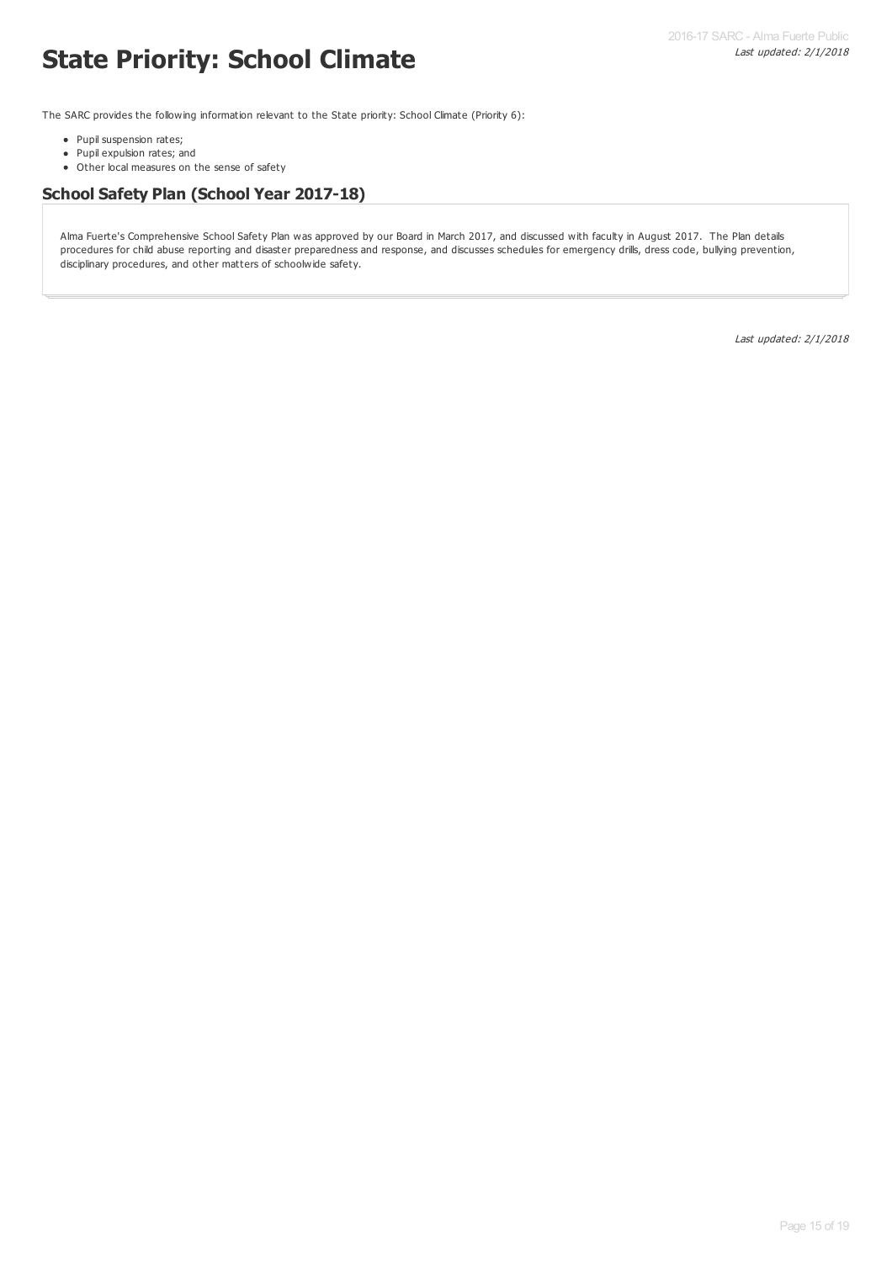# **State Priority: School Climate**

The SARC provides the following information relevant to the State priority: School Climate (Priority 6):

- Pupil suspension rates;
- Pupil expulsion rates; and
- Other local measures on the sense of safety

#### **School Safety Plan (School Year 2017-18)**

Alma Fuerte's Comprehensive School Safety Plan was approved by our Board in March 2017, and discussed with faculty in August 2017. The Plan details procedures for child abuse reporting and disaster preparedness and response, and discusses schedules for emergency drills, dress code, bullying prevention, disciplinary procedures, and other matters of schoolwide safety.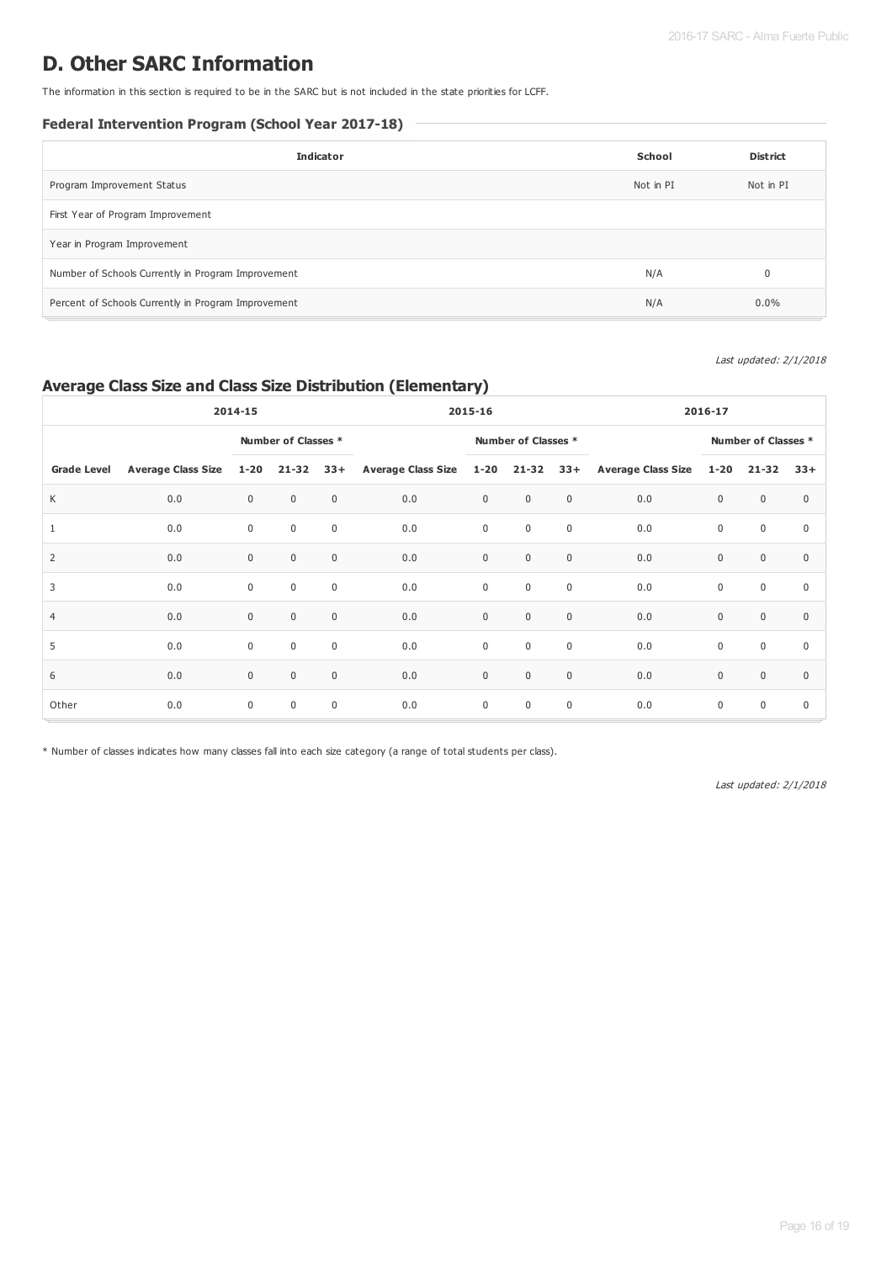### **D. Other SARC Information**

The information in this section is required to be in the SARC but is not included in the state priorities for LCFF.

#### **Federal Intervention Program (School Year 2017-18)**

| <b>Indicator</b>                                    | School    | <b>District</b> |
|-----------------------------------------------------|-----------|-----------------|
| Program Improvement Status                          | Not in PI | Not in PI       |
| First Year of Program Improvement                   |           |                 |
| Year in Program Improvement                         |           |                 |
| Number of Schools Currently in Program Improvement  | N/A       |                 |
| Percent of Schools Currently in Program Improvement | N/A       | $0.0\%$         |

#### Last updated: 2/1/2018

#### **Average Class Size and Class Size Distribution (Elementary)**

| 2014-15            |                           |              |                     | 2015-16      |                               |             | 2016-17             |             |                        |             |                     |             |
|--------------------|---------------------------|--------------|---------------------|--------------|-------------------------------|-------------|---------------------|-------------|------------------------|-------------|---------------------|-------------|
|                    |                           |              | Number of Classes * |              |                               |             | Number of Classes * |             |                        |             | Number of Classes * |             |
| <b>Grade Level</b> | <b>Average Class Size</b> | $1 - 20$     | $21 - 32$           | $33+$        | Average Class Size 1-20 21-32 |             |                     |             | 33+ Average Class Size | $1 - 20$    | 21-32               | $33+$       |
| К                  | 0.0                       | $\mathbf 0$  | $\mathbf 0$         | $\mathbf{0}$ | 0.0                           | $\mathsf 0$ | $\mathbf 0$         | $\mathsf 0$ | 0.0                    | $\mathbf 0$ | $\mathbf{0}$        | $\mathbf 0$ |
| 1                  | 0.0                       | $\mathbf 0$  | $\mathbf 0$         | $\mathbf 0$  | 0.0                           | $\mathsf 0$ | $\mathbf 0$         | $\mathsf 0$ | 0.0                    | $\mathbf 0$ | $\mathbf 0$         | $\mathbf 0$ |
| $\overline{2}$     | 0.0                       | $\mathbf{0}$ | $\mathbf 0$         | $\mathbf{0}$ | 0.0                           | $\mathbf 0$ | $\mathbf 0$         | $\mathsf 0$ | 0.0                    | $\mathbf 0$ | $\mathbf{0}$        | $\Omega$    |
| 3                  | 0.0                       | $\mathbf 0$  | $\mathbf 0$         | $\mathbf 0$  | 0.0                           | $\mathsf 0$ | $\mathbf 0$         | $\mathbf 0$ | 0.0                    | $\mathbf 0$ | $\mathbf 0$         | $\mathbf 0$ |
| $\overline{4}$     | 0.0                       | $\mathbf 0$  | $\mathbf 0$         | $\mathbf{0}$ | 0.0                           | $\mathbf 0$ | $\mathbf 0$         | $\mathsf 0$ | 0.0                    | $\mathbf 0$ | $\mathbf 0$         | $\mathbf 0$ |
| 5                  | 0.0                       | $\mathbf 0$  | $\mathbf 0$         | $\mathbf 0$  | 0.0                           | $\mathbf 0$ | $\mathbf 0$         | $\mathsf 0$ | 0.0                    | $\mathbf 0$ | $\mathbf 0$         | $\mathbf 0$ |
| 6                  | 0.0                       | $\mathbf{0}$ | $\mathbf 0$         | $\mathbf{0}$ | 0.0                           | $\mathsf 0$ | $\mathbf 0$         | $\mathsf 0$ | 0.0                    | $\mathbf 0$ | $\mathbf{0}$        | $\mathbf 0$ |
| Other              | 0.0                       | $\mathbf 0$  | $\mathbf 0$         | $\mathbf 0$  | 0.0                           | $\mathbf 0$ | $\mathbf 0$         | $\mathsf 0$ | 0.0                    | $\mathbf 0$ | $\mathbf 0$         | $\mathbf 0$ |

\* Number of classes indicates how many classes fall into each size category (a range of total students per class).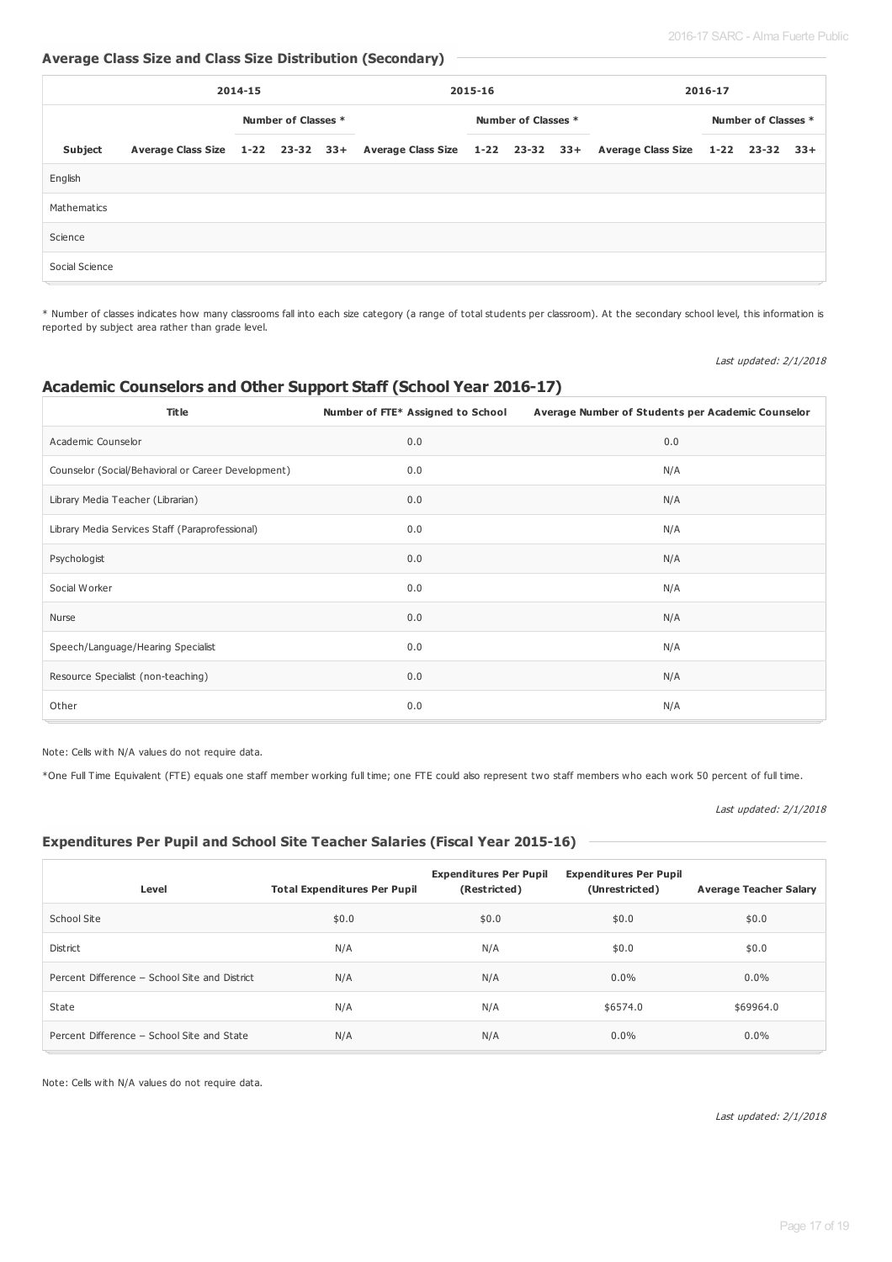#### **Average Class Size and Class Size Distribution (Secondary)**

|                | 2014-15 |                     |  | 2015-16 |                     |  | 2016-17 |  |                                                                                                       |  |  |  |
|----------------|---------|---------------------|--|---------|---------------------|--|---------|--|-------------------------------------------------------------------------------------------------------|--|--|--|
|                |         | Number of Classes * |  |         | Number of Classes * |  |         |  | Number of Classes *                                                                                   |  |  |  |
| Subject        |         |                     |  |         |                     |  |         |  | Average Class Size 1-22 23-32 33+ Average Class Size 1-22 23-32 33+ Average Class Size 1-22 23-32 33+ |  |  |  |
| English        |         |                     |  |         |                     |  |         |  |                                                                                                       |  |  |  |
| Mathematics    |         |                     |  |         |                     |  |         |  |                                                                                                       |  |  |  |
| Science        |         |                     |  |         |                     |  |         |  |                                                                                                       |  |  |  |
| Social Science |         |                     |  |         |                     |  |         |  |                                                                                                       |  |  |  |

\* Number of classes indicates how many classrooms fall into each size category (a range of total students per classroom). At the secondary school level, this information is reported by subject area rather than grade level.

Last updated: 2/1/2018

#### **Academic Counselors and Other Support Staff (School Year 2016-17)**

| <b>Title</b>                                        | Number of FTE* Assigned to School | Average Number of Students per Academic Counselor |
|-----------------------------------------------------|-----------------------------------|---------------------------------------------------|
| Academic Counselor                                  | 0.0                               | 0.0                                               |
| Counselor (Social/Behavioral or Career Development) | 0.0                               | N/A                                               |
| Library Media Teacher (Librarian)                   | 0.0                               | N/A                                               |
| Library Media Services Staff (Paraprofessional)     | 0.0                               | N/A                                               |
| Psychologist                                        | 0.0                               | N/A                                               |
| Social Worker                                       | 0.0                               | N/A                                               |
| Nurse                                               | 0.0                               | N/A                                               |
| Speech/Language/Hearing Specialist                  | 0.0                               | N/A                                               |
| Resource Specialist (non-teaching)                  | 0.0                               | N/A                                               |
| Other                                               | 0.0                               | N/A                                               |

Note: Cells with N/A values do not require data.

\*One Full Time Equivalent (FTE) equals one staff member working full time; one FTE could also represent two staff members who each work 50 percent of full time.

Last updated: 2/1/2018

#### **Expenditures Per Pupil and School Site Teacher Salaries (Fiscal Year 2015-16)**

| Level                                         | <b>Total Expenditures Per Pupil</b> | <b>Expenditures Per Pupil</b><br>(Restricted) | <b>Expenditures Per Pupil</b><br>(Unrestricted) | <b>Average Teacher Salary</b> |
|-----------------------------------------------|-------------------------------------|-----------------------------------------------|-------------------------------------------------|-------------------------------|
| School Site                                   | \$0.0                               | \$0.0                                         | \$0.0                                           | \$0.0                         |
| <b>District</b>                               | N/A                                 | N/A                                           | \$0.0                                           | \$0.0                         |
| Percent Difference - School Site and District | N/A                                 | N/A                                           | $0.0\%$                                         | $0.0\%$                       |
| State                                         | N/A                                 | N/A                                           | \$6574.0                                        | \$69964.0                     |
| Percent Difference - School Site and State    | N/A                                 | N/A                                           | $0.0\%$                                         | $0.0\%$                       |

Note: Cells with N/A values do not require data.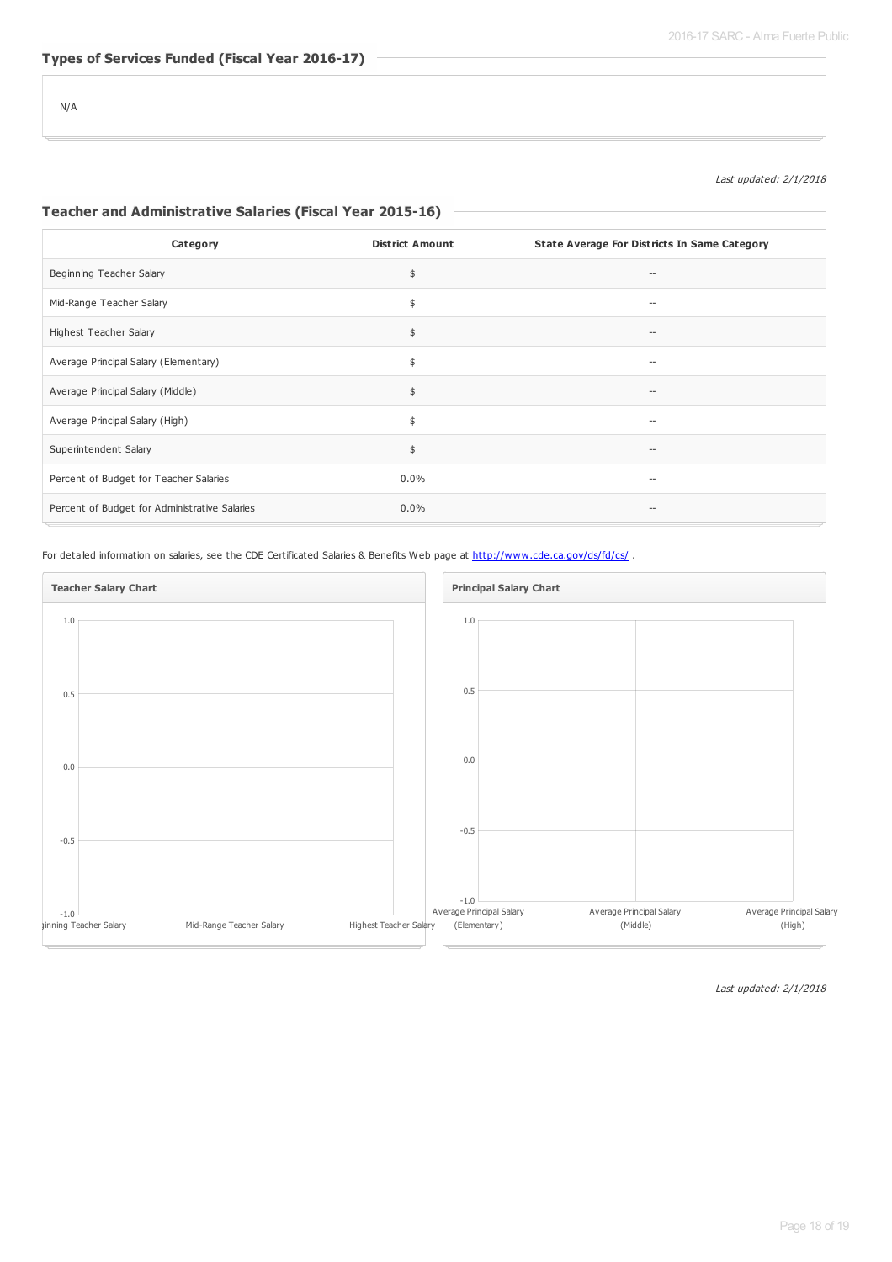Last updated: 2/1/2018

#### **Teacher and Administrative Salaries (Fiscal Year 2015-16)**

| Category                                      | <b>District Amount</b> | <b>State Average For Districts In Same Category</b> |
|-----------------------------------------------|------------------------|-----------------------------------------------------|
| Beginning Teacher Salary                      | \$                     | $\qquad \qquad \cdots$                              |
| Mid-Range Teacher Salary                      | \$                     |                                                     |
| Highest Teacher Salary                        | \$                     | $\hspace{0.05cm} -$                                 |
| Average Principal Salary (Elementary)         | \$                     | $\hspace{0.05cm}$ $\hspace{0.05cm}$                 |
| Average Principal Salary (Middle)             | \$                     | $-$                                                 |
| Average Principal Salary (High)               | \$                     | $\hspace{0.05cm}$ $\hspace{0.05cm}$                 |
| Superintendent Salary                         | \$                     | $\overline{\phantom{a}}$                            |
| Percent of Budget for Teacher Salaries        | $0.0\%$                |                                                     |
| Percent of Budget for Administrative Salaries | $0.0\%$                | $\hspace{0.05cm}$ $\hspace{0.05cm}$                 |

For detailed information on salaries, see the CDE Certificated Salaries & Benefits Web page at <http://www.cde.ca.gov/ds/fd/cs/> .